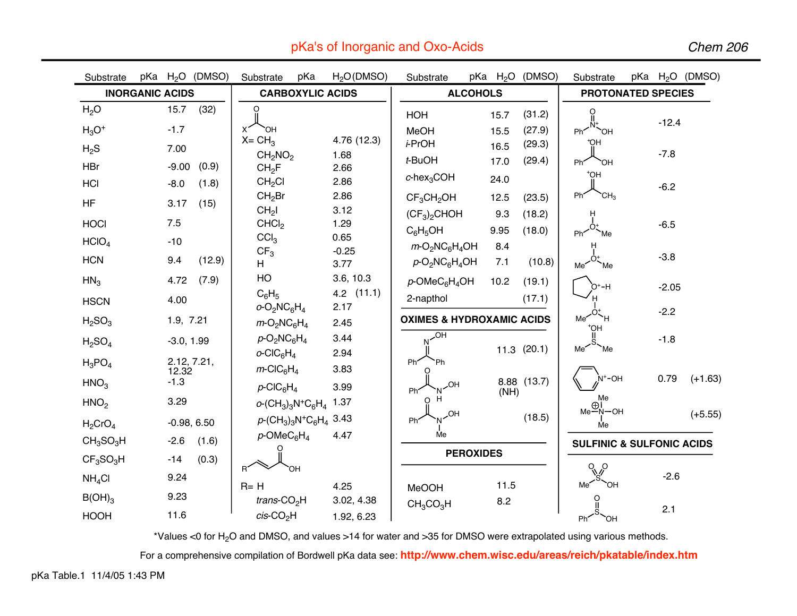| Substrate                                               | pKa $H_2O$ (DMSO)      |               | Substrate                                                                                                | pKa                                                                                                                                                                              | H <sub>2</sub> O(DMSO)           | Substrate                                                                                                      |                  |              | pKa H <sub>2</sub> O (DMSO) | Substrate                               |         | pKa H <sub>2</sub> O (DMSO) |
|---------------------------------------------------------|------------------------|---------------|----------------------------------------------------------------------------------------------------------|----------------------------------------------------------------------------------------------------------------------------------------------------------------------------------|----------------------------------|----------------------------------------------------------------------------------------------------------------|------------------|--------------|-----------------------------|-----------------------------------------|---------|-----------------------------|
|                                                         | <b>INORGANIC ACIDS</b> |               |                                                                                                          | <b>CARBOXYLIC ACIDS</b>                                                                                                                                                          |                                  |                                                                                                                | <b>ALCOHOLS</b>  |              |                             | <b>PROTONATED SPECIES</b>               |         |                             |
| H <sub>2</sub> O<br>$H_3O^+$                            | 15.7<br>$-1.7$         | (32)          | O<br>X.<br>`OH                                                                                           |                                                                                                                                                                                  |                                  | HOH<br><b>MeOH</b>                                                                                             |                  | 15.7<br>15.5 | (31.2)<br>(27.9)            | Ph<br>Юʻ                                | $-12.4$ |                             |
| H <sub>2</sub> S<br><b>HBr</b>                          | 7.00<br>$-9.00$        | (0.9)         | $X = CH3$<br>CH <sub>2</sub> NO <sub>2</sub><br>CH <sub>2</sub> F                                        |                                                                                                                                                                                  | 4.76 (12.3)<br>1.68<br>2.66      | i-PrOH<br>t-BuOH                                                                                               |                  | 16.5<br>17.0 | (29.3)<br>(29.4)            | ЮH<br>Ph'<br>`OH                        | $-7.8$  |                             |
| HCI                                                     | $-8.0$                 | (1.8)         | CH <sub>2</sub> Cl<br>CH <sub>2</sub> Br                                                                 |                                                                                                                                                                                  | 2.86<br>2.86                     | $c$ -hex <sub>3</sub> COH<br>$CF_3CH_2OH$                                                                      |                  | 24.0<br>12.5 | (23.5)                      | ťОH<br>Ph <sup>-</sup><br>`CH3          | $-6.2$  |                             |
| <b>HF</b><br><b>HOCI</b>                                | 3.17<br>7.5            | (15)          | CH <sub>2</sub> I<br>CHCl <sub>2</sub>                                                                   |                                                                                                                                                                                  | 3.12<br>1.29                     | $(CF_3)_2$ CHOH<br>$C_6H_5OH$                                                                                  |                  | 9.3<br>9.95  | (18.2)<br>(18.0)            | н<br>Ph <sup>2</sup><br>Me              | $-6.5$  |                             |
| HCIO <sub>4</sub><br><b>HCN</b>                         | $-10$<br>9.4           | (12.9)        | CCI <sub>3</sub><br>CF <sub>3</sub><br>H                                                                 |                                                                                                                                                                                  | 0.65<br>$-0.25$<br>3.77          | $m$ -O <sub>2</sub> NC <sub>6</sub> H <sub>4</sub> OH<br>$p$ -O <sub>2</sub> NC <sub>6</sub> H <sub>4</sub> OH |                  | 8.4<br>7.1   | (10.8)                      | Me <sup><math>\sim</math></sup><br>`Me  | $-3.8$  |                             |
| HN <sub>3</sub><br><b>HSCN</b>                          | 4.72<br>4.00           | (7.9)         | HO<br>$C_6H_5$                                                                                           |                                                                                                                                                                                  | 3.6, 10.3<br>$4.2$ (11.1)        | $p$ -OMeC $_6$ H <sub>4</sub> OH<br>2-napthol                                                                  |                  | 10.2         | (19.1)<br>(17.1)            | O+-H                                    | $-2.05$ |                             |
| H <sub>2</sub> SO <sub>3</sub>                          | 1.9, 7.21              |               | $o$ -O <sub>2</sub> NC <sub>6</sub> H <sub>4</sub><br>$m$ -O <sub>2</sub> NC <sub>6</sub> H <sub>4</sub> |                                                                                                                                                                                  | 2.17<br>2.45                     | <b>OXIMES &amp; HYDROXAMIC ACIDS</b>                                                                           |                  |              |                             | Ή<br>Me <sup>-</sup><br>HO <sup>+</sup> | $-2.2$  |                             |
| H <sub>2</sub> SO <sub>4</sub><br>$H_3PO_4$             | $-3.0, 1.99$           | 2.12, 7.21,   | $p$ -O <sub>2</sub> NC <sub>6</sub> H <sub>4</sub><br>$o\text{-ClC}_6H_4$                                |                                                                                                                                                                                  | 3.44<br>2.94                     | .OH<br>Ph <sup>-</sup><br>'Ph                                                                                  |                  |              | $11.3$ (20.1)               | Me <sup>2</sup><br>Me                   | $-1.8$  |                             |
| HNO <sub>3</sub>                                        | 12.32<br>$-1.3$        |               | $m$ -CIC <sub>6</sub> H <sub>4</sub><br>$p$ -CIC <sub>6</sub> H <sub>4</sub>                             |                                                                                                                                                                                  | 3.83<br>3.99                     | HO.<br>Phi                                                                                                     |                  | (NH)         | 8.88 (13.7)                 | N <sup>+</sup> -OH<br>Me                | 0.79    | $(+1.63)$                   |
| HNO <sub>2</sub><br>$H_2$ CrO <sub>4</sub>              | 3.29                   | $-0.98, 6.50$ |                                                                                                          | $o$ -(CH <sub>3</sub> ) <sub>3</sub> N <sup>+</sup> C <sub>6</sub> H <sub>4</sub> 1.37<br>$p$ -(CH <sub>3</sub> ) <sub>3</sub> N <sup>+</sup> C <sub>6</sub> H <sub>4</sub> 3.43 |                                  | HO.                                                                                                            |                  |              | (18.5)                      | $Me01N-OH$<br>Me                        |         | $(+5.55)$                   |
| CH <sub>3</sub> SO <sub>3</sub> H                       | $-2.6$                 | (1.6)         | $p$ -OMeC $_6$ H <sub>4</sub>                                                                            |                                                                                                                                                                                  | 4.47                             | Me                                                                                                             |                  |              |                             | <b>SULFINIC &amp; SULFONIC ACIDS</b>    |         |                             |
| CF <sub>3</sub> SO <sub>3</sub> H<br>NH <sub>4</sub> Cl | $-14$<br>9.24          | (0.3)         | $R^{\prime}$                                                                                             | 'OΗ                                                                                                                                                                              |                                  |                                                                                                                | <b>PEROXIDES</b> |              |                             | o o                                     | $-2.6$  |                             |
| $B(OH)_3$<br><b>HOOH</b>                                | 9.23<br>11.6           |               | $R = H$<br>trans- $CO2H$<br>$cis$ -CO <sub>2</sub> H                                                     |                                                                                                                                                                                  | 4.25<br>3.02, 4.38<br>1.92, 6.23 | <b>MeOOH</b><br>$CH_3CO_3H$                                                                                    |                  | 11.5<br>8.2  |                             | Me<br>ЮH<br>Ph <sup>2</sup><br>`OH      | 2.1     |                             |

\*Values <0 for H<sub>2</sub>O and DMSO, and values >14 for water and >35 for DMSO were extrapolated using various methods.

For a comprehensive compilation of Bordwell pKa data see: **http://www.chem.wisc.edu/areas/reich/pkatable/index.htm**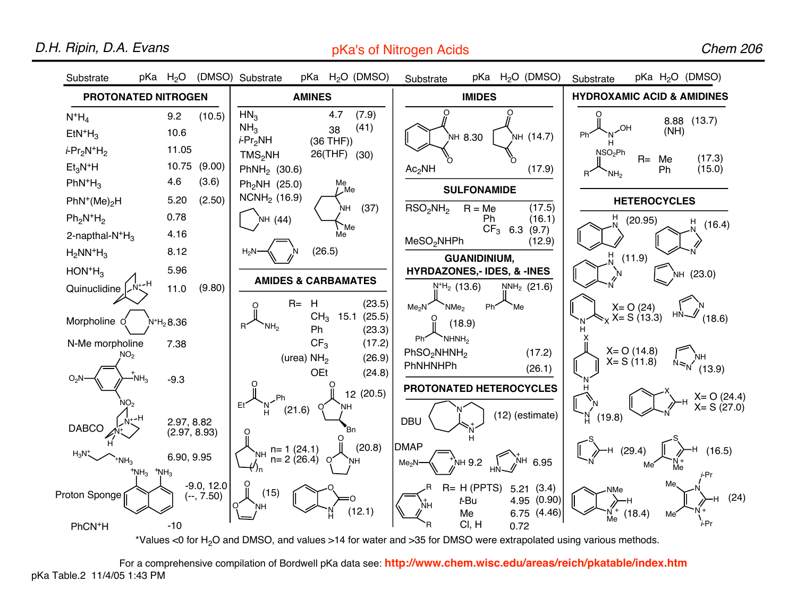## D.H. Ripin, D.A. Evans

pKa's of Nitrogen Acids



\*Values <0 for H2O and DMSO, and values >14 for water and >35 for DMSO were extrapolated using various methods.

For a comprehensive compilation of Bordwell pKa data see: **http://www.chem.wisc.edu/areas/reich/pkatable/index.htm** pKa Table.2 11/4/05 1:43 PM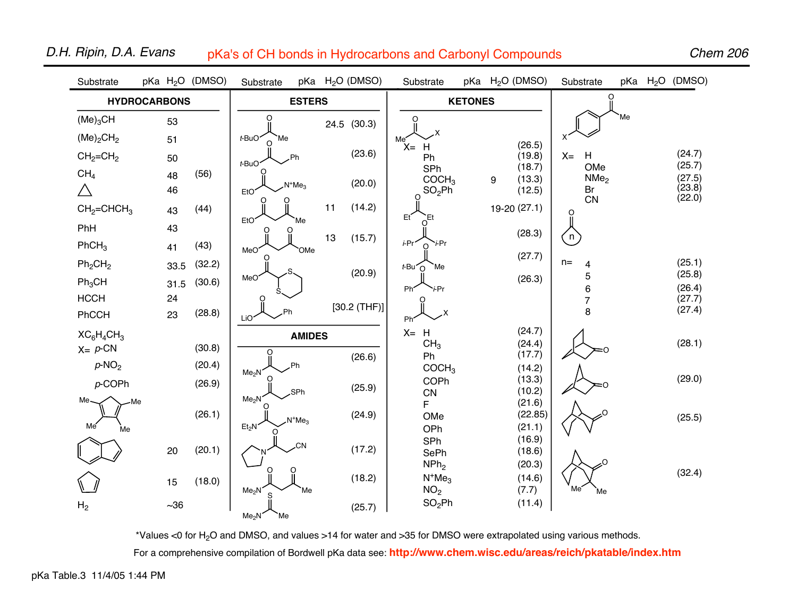| Substrate                         | pKa H <sub>2</sub> O (DMSO) |        | Substrate                |                                | pKa H <sub>2</sub> O (DMSO) |              | Substrate                       |                |   | pKa H <sub>2</sub> O (DMSO) | Substrate               |     | pKa $H_2O$ (DMSO) |
|-----------------------------------|-----------------------------|--------|--------------------------|--------------------------------|-----------------------------|--------------|---------------------------------|----------------|---|-----------------------------|-------------------------|-----|-------------------|
|                                   | <b>HYDROCARBONS</b>         |        |                          | <b>ESTERS</b>                  |                             |              |                                 | <b>KETONES</b> |   |                             | O                       |     |                   |
| $(Me)_{3}CH$                      | 53                          |        | O                        |                                | 24.5 (30.3)                 |              | O                               |                |   |                             |                         | Me` |                   |
| (Me) <sub>2</sub> CH <sub>2</sub> | 51                          |        | t-BuO <sup>.</sup><br>Me |                                |                             |              | Me <sup>®</sup>                 |                |   | (26.5)                      |                         |     |                   |
| $CH2=CH2$                         | 50                          |        |                          | .Ph                            |                             | (23.6)       | $X = H$<br>Ph                   |                |   | (19.8)                      | H<br>$X =$              |     | (24.7)            |
| CH <sub>4</sub>                   | 48                          | (56)   | $t$ -BuO                 |                                |                             |              | SPh<br>COCH <sub>3</sub>        |                | 9 | (18.7)<br>(13.3)            | OMe<br>NMe <sub>2</sub> |     | (25.7)<br>(27.5)  |
| $\bigwedge$                       | 46                          |        | EtO <sup>®</sup>         | $N^+Me_3$                      |                             | (20.0)       | SO <sub>2</sub> Ph<br>O         |                |   | (12.5)                      | Br                      |     | (23.8)            |
| $CH2=CHCH3$                       | 43                          | (44)   |                          |                                | 11                          | (14.2)       |                                 |                |   | 19-20 (27.1)                | CN<br>O                 |     | (22.0)            |
| PhH                               | 43                          |        | EtO <sup>®</sup>         | Me<br>Ω                        |                             |              | Et<br>Et                        |                |   |                             |                         |     |                   |
| PhCH <sub>3</sub>                 | 41                          | (43)   | MeO <sup>®</sup>         | OMe                            | 13                          | (15.7)       | i-Pr <sup>-</sup><br>'i-Pr<br>O |                |   | (28.3)                      | $\binom{n}{k}$          |     |                   |
| Ph <sub>2</sub> CH <sub>2</sub>   | 33.5                        | (32.2) |                          |                                |                             |              | $t$ -Bu $\bigcap$<br>Me         |                |   | (27.7)                      | $n=$<br>4               |     | (25.1)            |
| $Ph_3CH$                          | 31.5                        | (30.6) | MeO                      |                                |                             | (20.9)       |                                 |                |   | (26.3)                      | 5                       |     | (25.8)            |
| <b>HCCH</b>                       | 24                          |        | O                        |                                |                             |              | Ph'<br>i-Pr                     |                |   |                             | 6<br>7                  |     | (26.4)<br>(27.7)  |
| PhCCH                             | 23                          | (28.8) | LiO                      |                                |                             | [30.2 (THF)] | Phi                             |                |   |                             | 8                       |     | (27.4)            |
| $XC_6H_4CH_3$                     |                             |        |                          | <b>AMIDES</b>                  |                             |              | $X = H$                         |                |   | (24.7)                      |                         |     |                   |
| $X = p$ -CN                       |                             | (30.8) |                          |                                |                             | (26.6)       | CH <sub>3</sub><br>Ph           |                |   | (24.4)<br>(17.7)            |                         |     | (28.1)            |
| $p$ -NO <sub>2</sub>              |                             | (20.4) | Me <sub>2</sub> N        | .Ph                            |                             |              | COCH <sub>3</sub>               |                |   | (14.2)                      |                         |     |                   |
| p-COPh                            |                             | (26.9) |                          |                                |                             | (25.9)       | COPh                            |                |   | (13.3)<br>(10.2)            |                         |     | (29.0)            |
| Me-<br>Me                         |                             |        | Me <sub>2</sub> N        | SPh.                           |                             |              | CN<br>F                         |                |   | (21.6)                      |                         |     |                   |
| Me                                |                             | (26.1) |                          | N <sup>+</sup> Me <sub>3</sub> |                             | (24.9)       | OMe                             |                |   | (22.85)                     |                         |     | (25.5)            |
| Me                                |                             |        | $Et_2N$                  |                                |                             |              | OPh<br>SPh                      |                |   | (21.1)<br>(16.9)            |                         |     |                   |
|                                   | 20                          | (20.1) |                          | .CN                            |                             | (17.2)       | SePh                            |                |   | (18.6)                      |                         |     |                   |
|                                   |                             |        | O                        |                                |                             |              | NPh <sub>2</sub>                |                |   | (20.3)                      |                         |     | (32.4)            |
|                                   | 15                          | (18.0) | Me <sub>2</sub> N        | Me                             |                             | (18.2)       | $N^+Me3$<br>NO <sub>2</sub>     |                |   | (14.6)<br>(7.7)             | Me'<br>Me               |     |                   |
| H <sub>2</sub>                    | $\sim36$                    |        | Me <sub>2</sub> N<br>Me  |                                |                             | (25.7)       | SO <sub>2</sub> Ph              |                |   | (11.4)                      |                         |     |                   |

## D.H. Ripin, D.A. Evans pKa's of CH bonds in Hydrocarbons and Carbonyl Compounds

Chem 206

\*Values <0 for  $H_2O$  and DMSO, and values >14 for water and >35 for DMSO were extrapolated using various methods.

For a comprehensive compilation of Bordwell pKa data see: **http://www.chem.wisc.edu/areas/reich/pkatable/index.htm**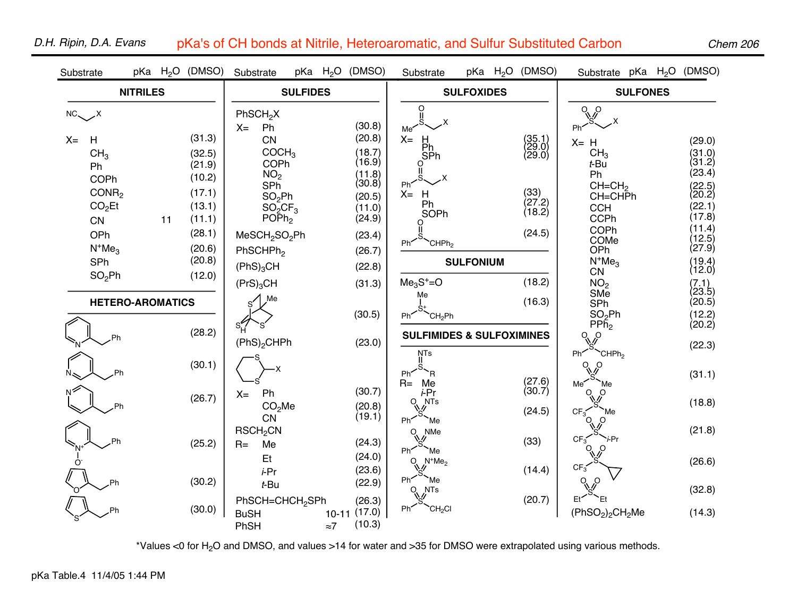| D.H. Ripin, D.A. Evans | pKa's of CH bonds at Nitrile, Heteroaromatic, and Sulfur Substituted Carbon |  |
|------------------------|-----------------------------------------------------------------------------|--|
|------------------------|-----------------------------------------------------------------------------|--|

Chem 206

| Substrate                                                                                                                                                 | pKa H <sub>2</sub> O | (DMSO)                                                                                                     | Substrate                                                                                                                                                                                                                                                                                        |  | $pKa$ $H_2O$ | (DMSO)                                                                                                                             | Substrate                                                                                                                                    |                  | $pKa$ $H_2O$ | (DMSO)                                                                               | Substrate pKa H <sub>2</sub> O (DMSO)                                                                                                                                                      |  |  |                                                                                                                                                               |  |  |
|-----------------------------------------------------------------------------------------------------------------------------------------------------------|----------------------|------------------------------------------------------------------------------------------------------------|--------------------------------------------------------------------------------------------------------------------------------------------------------------------------------------------------------------------------------------------------------------------------------------------------|--|--------------|------------------------------------------------------------------------------------------------------------------------------------|----------------------------------------------------------------------------------------------------------------------------------------------|------------------|--------------|--------------------------------------------------------------------------------------|--------------------------------------------------------------------------------------------------------------------------------------------------------------------------------------------|--|--|---------------------------------------------------------------------------------------------------------------------------------------------------------------|--|--|
| <b>NITRILES</b>                                                                                                                                           |                      |                                                                                                            | <b>SULFIDES</b>                                                                                                                                                                                                                                                                                  |  |              |                                                                                                                                    | <b>SULFOXIDES</b>                                                                                                                            |                  |              |                                                                                      | <b>SULFONES</b>                                                                                                                                                                            |  |  |                                                                                                                                                               |  |  |
| $NC_{\diagdown}$ X<br>$X =$<br>H<br>CH <sub>3</sub><br>Ph<br>COPh<br>CONR <sub>2</sub><br>CO <sub>2</sub> Et<br>CN<br>OPh<br>$N^+Me3$<br>SPh<br>$SO_2$ Ph | 11                   | (31.3)<br>(32.5)<br>(21.9)<br>(10.2)<br>(17.1)<br>(13.1)<br>(11.1)<br>(28.1)<br>(20.6)<br>(20.8)<br>(12.0) | PhSCH <sub>2</sub> X<br>Ph<br>$X =$<br>CN<br>COCH <sub>3</sub><br>COPh<br>NO <sub>2</sub><br>SP <sub>h</sub><br>SO <sub>2</sub> Ph<br>SO <sub>2</sub> CF <sub>3</sub><br>$PO\bar{P}h_2$<br>MeSCH <sub>2</sub> SO <sub>2</sub> Ph<br>PhSCHPh <sub>2</sub><br>(PhS) <sub>3</sub> CH<br>$(PrS)_3CH$ |  |              | (30.8)<br>(20.8)<br>(18.7)<br>(16.9)<br>$(11.8)$<br>$(30.8)$<br>(20.5)<br>(11.0)<br>(24.9)<br>(23.4)<br>(26.7)<br>(22.8)<br>(31.3) | O<br>Me <sup>2</sup><br>$X =$<br>H<br>Ph<br>SPh<br>O<br>Ph'<br>$X =$<br>H<br>Ph<br>SOPh<br>CHPh <sub>2</sub><br>Ph <sup>2</sup><br>$Me3S+=O$ | <b>SULFONIUM</b> |              | $(35.1)$<br>$(29.0)$<br>$(29.0)$<br>$(33)$<br>$(27.2)$<br>(18.2)<br>(24.5)<br>(18.2) | $^{0}$ $^{0}$<br>Ph'<br>$X = H$<br>CH <sub>3</sub><br>$t$ -Bu<br>Ph<br>$CH=CH2$<br>CH=CHPh<br><b>CCH</b><br><b>CCPh</b><br>COPh<br>COMe<br>OPh<br>$N^+Me3$<br><b>CN</b><br>NO <sub>2</sub> |  |  | (29.0)<br>$(31.0)$<br>$(31.2)$<br>(23.4)<br>(22.5)<br>(20.2)<br>(22.1)<br>(17.8)<br>(11.4)<br>(12.5)<br>(27.9)<br>$(19.4)$<br>$(12.0)$<br>$(7.1)$<br>$(23.5)$ |  |  |
| <b>HETERO-AROMATICS</b>                                                                                                                                   |                      |                                                                                                            | Me                                                                                                                                                                                                                                                                                               |  |              |                                                                                                                                    | Me                                                                                                                                           |                  |              | (16.3)                                                                               | SMe<br>SPh                                                                                                                                                                                 |  |  | (20.5)                                                                                                                                                        |  |  |
|                                                                                                                                                           |                      | (28.2)                                                                                                     | (PhS) <sub>2</sub> CHPh                                                                                                                                                                                                                                                                          |  |              | (30.5)<br>(23.0)                                                                                                                   | CH <sub>2</sub> Ph<br>Ph'<br><b>SULFIMIDES &amp; SULFOXIMINES</b><br><b>NTs</b>                                                              |                  |              |                                                                                      | SO <sub>2</sub> Ph<br>PP <sub>h</sub><br>ი<br>CHPh <sub>2</sub><br>Ph <sup>-</sup>                                                                                                         |  |  | (12.2)<br>(20.2)<br>(22.3)                                                                                                                                    |  |  |
|                                                                                                                                                           |                      | (30.1)                                                                                                     |                                                                                                                                                                                                                                                                                                  |  |              |                                                                                                                                    | Ph'<br>ΈR<br>$R =$<br>Me                                                                                                                     |                  |              |                                                                                      | $\alpha$<br>Me <sup>®</sup><br>Мe                                                                                                                                                          |  |  | (31.1)                                                                                                                                                        |  |  |
|                                                                                                                                                           |                      | (26.7)                                                                                                     | Ph<br>$X =$<br>CO <sub>2</sub> Me<br>CN                                                                                                                                                                                                                                                          |  |              | (30.7)<br>(20.8)<br>(19.1)                                                                                                         | i-Pr<br>N <sub>Ts</sub><br>৹<br>Ph'<br>Me`                                                                                                   |                  |              | $(27.6)$<br>$(30.7)$<br>(24.5)                                                       | O<br>O<br>$CF_3$<br>Me<br>$\Omega$                                                                                                                                                         |  |  | (18.8)                                                                                                                                                        |  |  |
| Ph                                                                                                                                                        |                      | (25.2)                                                                                                     | RSCH <sub>2</sub> CN<br>Me<br>$R =$<br>Et                                                                                                                                                                                                                                                        |  |              | (24.3)<br>(24.0)                                                                                                                   | <b>NMe</b><br>$\alpha$<br>Ph <sup>2</sup><br>`Me                                                                                             |                  |              | (33)                                                                                 | CF <sub>3</sub><br>' <i>i</i> -Pr<br>$O\sqrt{2}$                                                                                                                                           |  |  | (21.8)                                                                                                                                                        |  |  |
| O <sup>-</sup>                                                                                                                                            |                      | (30.2)                                                                                                     | i-Pr<br>$t$ -Bu                                                                                                                                                                                                                                                                                  |  |              | (23.6)<br>(22.9)                                                                                                                   | $O_{\psi_0}$<br>$N^+Me_2$<br>Ph <sup>-</sup><br>`Me<br>NT <sub>s</sub><br>$O_{\!\!\!\chi\!/\!\!\!/\!/}$                                      |                  |              | (14.4)                                                                               | CF <sub>3</sub><br>$\circ$<br>$\circ$                                                                                                                                                      |  |  | (26.6)<br>(32.8)                                                                                                                                              |  |  |
|                                                                                                                                                           |                      | (30.0)                                                                                                     | PhSCH=CHCH <sub>2</sub> SPh<br><b>BuSH</b><br>PhSH                                                                                                                                                                                                                                               |  | $\approx 7$  | (26.3)<br>$10-11(17.0)$<br>(10.3)                                                                                                  | CH <sub>2</sub> CI<br>Ph'                                                                                                                    |                  |              | (20.7)                                                                               | Et <sup>2</sup><br>Et<br>(PhSO <sub>2</sub> ) <sub>2</sub> CH <sub>2</sub> Me                                                                                                              |  |  | (14.3)                                                                                                                                                        |  |  |

\*Values <0 for H2O and DMSO, and values >14 for water and >35 for DMSO were extrapolated using various methods.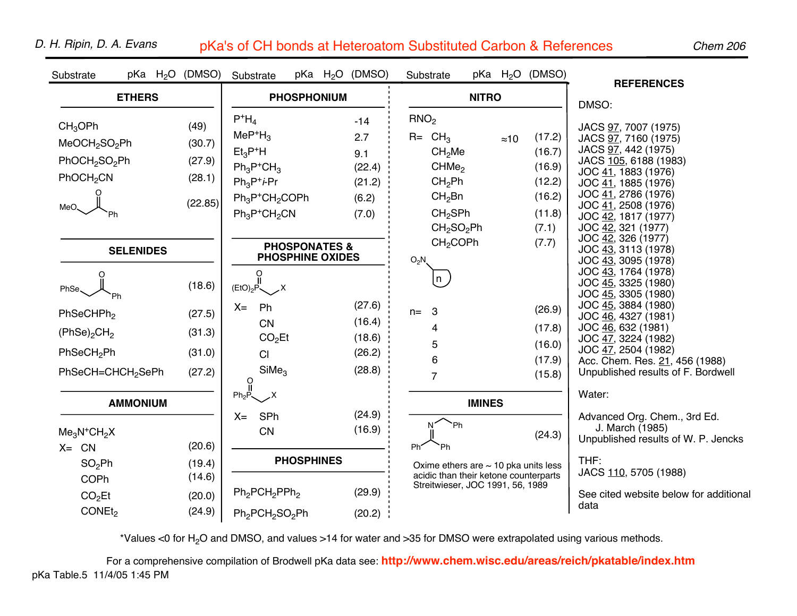| Substrate                                                                                                                             | pKa                                   | $H_2O$ | (DMSO)                                        | Substrate                                                                                                             |                                         |  | pKa H <sub>2</sub> O (DMSO)                               | Substrate        |                                                                                                                                                     | pKa                                        |              | $H2O$ (DMSO)                                                      | <b>REFERENCES</b>                                                                                                                                                                                                                                           |  |  |  |
|---------------------------------------------------------------------------------------------------------------------------------------|---------------------------------------|--------|-----------------------------------------------|-----------------------------------------------------------------------------------------------------------------------|-----------------------------------------|--|-----------------------------------------------------------|------------------|-----------------------------------------------------------------------------------------------------------------------------------------------------|--------------------------------------------|--------------|-------------------------------------------------------------------|-------------------------------------------------------------------------------------------------------------------------------------------------------------------------------------------------------------------------------------------------------------|--|--|--|
| <b>ETHERS</b>                                                                                                                         |                                       |        | <b>PHOSPHONIUM</b>                            | <b>NITRO</b>                                                                                                          |                                         |  |                                                           |                  | DMSO:                                                                                                                                               |                                            |              |                                                                   |                                                                                                                                                                                                                                                             |  |  |  |
| CH <sub>3</sub> OPh<br>MeOCH <sub>2</sub> SO <sub>2</sub> Ph<br>PhOCH <sub>2</sub> SO <sub>2</sub> Ph<br>PhOCH <sub>2</sub> CN<br>MeO |                                       |        | (49)<br>(30.7)<br>(27.9)<br>(28.1)<br>(22.85) | $P^+H_4$<br>$MeP+H3$<br>$Et_3P^+H$<br>$Ph_3P^+CH_3$<br>$Ph_3P^+$ <i>i</i> -Pr<br>$Ph_3P^+CH_2COPh$<br>$Ph_3P^+CH_2CN$ |                                         |  | $-14$<br>2.7<br>9.1<br>(22.4)<br>(21.2)<br>(6.2)<br>(7.0) | RNO <sub>2</sub> | $R = CH3$<br>CH <sub>2</sub> Me<br>CHMe <sub>2</sub><br>CH <sub>2</sub> Ph<br>$CH2$ Bn<br>CH <sub>2</sub> SPh<br>CH <sub>2</sub> SO <sub>2</sub> Ph |                                            | $\approx 10$ | (17.2)<br>(16.7)<br>(16.9)<br>(12.2)<br>(16.2)<br>(11.8)<br>(7.1) | JACS 97, 7007 (1975)<br>JACS 97, 7160 (1975)<br>JACS 97, 442 (1975)<br>JACS 105, 6188 (1983)<br>JOC 41, 1883 (1976)<br>JOC 41, 1885 (1976)<br>JOC 41, 2786 (1976)<br>JOC 41, 2508 (1976)<br>JOC 42, 1817 (1977)<br>JOC 42, 321 (1977)<br>JOC 42, 326 (1977) |  |  |  |
|                                                                                                                                       | <b>SELENIDES</b>                      |        |                                               | <b>PHOSPONATES &amp;</b><br><b>PHOSPHINE OXIDES</b>                                                                   | CH <sub>2</sub> COPh<br>(7.7)<br>$O_2N$ |  |                                                           |                  |                                                                                                                                                     | JOC 43, 3113 (1978)<br>JOC 43, 3095 (1978) |              |                                                                   |                                                                                                                                                                                                                                                             |  |  |  |
| PhSe                                                                                                                                  | Ph                                    |        | (18.6)                                        | O<br>$(E1O)2P$ X                                                                                                      |                                         |  |                                                           |                  | n                                                                                                                                                   |                                            |              |                                                                   | JOC 43, 1764 (1978)<br>JOC 45, 3325 (1980)<br>JOC 45, 3305 (1980)                                                                                                                                                                                           |  |  |  |
| PhSeCHPh <sub>2</sub><br>(PhSe) <sub>2</sub> CH <sub>2</sub>                                                                          |                                       |        | (27.5)<br>(31.3)                              | Ph<br>$X =$<br><b>CN</b><br>CO <sub>2</sub> Et                                                                        |                                         |  | (27.6)<br>(16.4)<br>(18.6)                                | $n=$             | 3<br>4                                                                                                                                              |                                            |              | (26.9)<br>(17.8)                                                  | JOC 45, 3884 (1980)<br>JOC 46, 4327 (1981)<br>JOC 46, 632 (1981)<br>JOC 47, 3224 (1982)                                                                                                                                                                     |  |  |  |
| PhSeCH <sub>2</sub> Ph<br>PhSeCH=CHCH <sub>2</sub> SePh                                                                               |                                       |        | (31.0)<br>(27.2)                              | CI<br>SiMe <sub>3</sub>                                                                                               |                                         |  | (26.2)<br>(28.8)                                          |                  | 5<br>6<br>$\overline{7}$                                                                                                                            |                                            |              | (16.0)<br>(17.9)<br>(15.8)                                        | JOC 47, 2504 (1982)<br>Acc. Chem. Res. 21, 456 (1988)<br>Unpublished results of F. Bordwell                                                                                                                                                                 |  |  |  |
|                                                                                                                                       | <b>AMMONIUM</b>                       |        |                                               | ဂူ<br>$Ph_2P$<br>$\mathsf{X}_{\mathsf{S}}$<br>SPh<br>$X =$                                                            |                                         |  | (24.9)                                                    |                  | <b>IMINES</b>                                                                                                                                       |                                            |              |                                                                   | Water:<br>Advanced Org. Chem., 3rd Ed.                                                                                                                                                                                                                      |  |  |  |
| $Me3N+CH2X$<br>$X = CN$                                                                                                               |                                       |        | (20.6)                                        | <b>CN</b>                                                                                                             |                                         |  | (16.9)                                                    | Ph'              | Ph                                                                                                                                                  |                                            |              | (24.3)                                                            | J. March (1985)<br>Unpublished results of W. P. Jencks                                                                                                                                                                                                      |  |  |  |
| CO <sub>2</sub> Et                                                                                                                    | $SO_2$ Ph<br>(19.4)<br>(14.6)<br>COPh |        | (20.0)                                        | <b>PHOSPHINES</b><br>$Ph_2PCH_2PPh_2$<br>(29.9)                                                                       |                                         |  |                                                           |                  | Oxime ethers are $\sim$ 10 pka units less<br>acidic than their ketone counterparts<br>Streitwieser, JOC 1991, 56, 1989                              |                                            |              |                                                                   | THF:<br>JACS 110, 5705 (1988)<br>See cited website below for additional                                                                                                                                                                                     |  |  |  |
| CONEt <sub>2</sub>                                                                                                                    |                                       |        | (24.9)                                        | $Ph_2PCH_2SO_2Ph$                                                                                                     |                                         |  | (20.2)                                                    |                  |                                                                                                                                                     |                                            |              |                                                                   | data                                                                                                                                                                                                                                                        |  |  |  |

\*Values <0 for H<sub>2</sub>O and DMSO, and values >14 for water and >35 for DMSO were extrapolated using various methods.

For a comprehensive compilation of Brodwell pKa data see: **http://www.chem.wisc.edu/areas/reich/pkatable/index.htm** pKa Table.5 11/4/05 1:45 PM